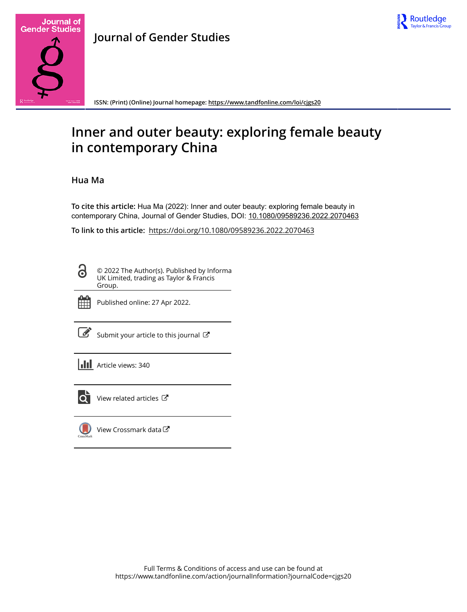



**Journal of Gender Studies**

**ISSN: (Print) (Online) Journal homepage:<https://www.tandfonline.com/loi/cjgs20>**

# **Inner and outer beauty: exploring female beauty in contemporary China**

# **Hua Ma**

**To cite this article:** Hua Ma (2022): Inner and outer beauty: exploring female beauty in contemporary China, Journal of Gender Studies, DOI: [10.1080/09589236.2022.2070463](https://www.tandfonline.com/action/showCitFormats?doi=10.1080/09589236.2022.2070463)

**To link to this article:** <https://doi.org/10.1080/09589236.2022.2070463>

| ı |  |
|---|--|

© 2022 The Author(s). Published by Informa UK Limited, trading as Taylor & Francis Group.



Published online: 27 Apr 2022.

 $\overrightarrow{S}$  [Submit your article to this journal](https://www.tandfonline.com/action/authorSubmission?journalCode=cjgs20&show=instructions)  $\overrightarrow{S}$ 

| <b>III</b> Article views: 340 |
|-------------------------------|
|                               |



 $\overrightarrow{Q}$  [View related articles](https://www.tandfonline.com/doi/mlt/10.1080/09589236.2022.2070463)  $\overrightarrow{C}$ 



[View Crossmark data](http://crossmark.crossref.org/dialog/?doi=10.1080/09589236.2022.2070463&domain=pdf&date_stamp=2022-04-27)<sup>√</sup>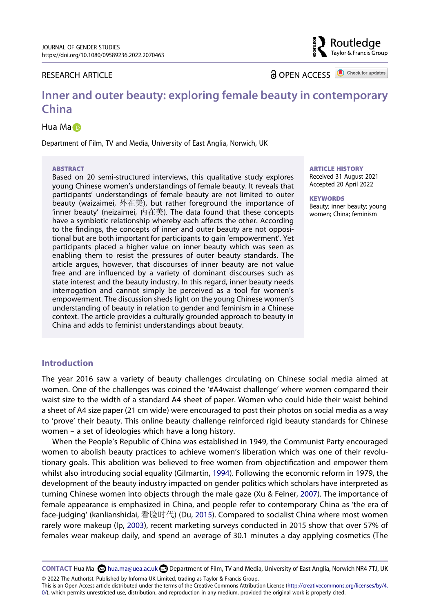# RESEARCH ARTICLE

**a** OPEN ACCESS **a** Check for updates

Routledae Taylor & Francis Group

# **Inner and outer beauty: exploring female beauty in contemporary China**

## Hu[a](http://orcid.org/0000-0002-2783-7252) Ma<sub>l</sub>

Department of Film, TV and Media, University of East Anglia, Norwich, UK

#### **ABSTRACT**

Based on 20 semi-structured interviews, this qualitative study explores young Chinese women's understandings of female beauty. It reveals that participants' understandings of female beauty are not limited to outer beauty (waizaimei, 外在美), but rather foreground the importance of 'inner beauty' (neizaimei, 内在美). The data found that these concepts have a symbiotic relationship whereby each affects the other. According to the findings, the concepts of inner and outer beauty are not oppositional but are both important for participants to gain 'empowerment'. Yet participants placed a higher value on inner beauty which was seen as enabling them to resist the pressures of outer beauty standards. The article argues, however, that discourses of inner beauty are not value free and are influenced by a variety of dominant discourses such as state interest and the beauty industry. In this regard, inner beauty needs interrogation and cannot simply be perceived as a tool for women's empowerment. The discussion sheds light on the young Chinese women's understanding of beauty in relation to gender and feminism in a Chinese context. The article provides a culturally grounded approach to beauty in China and adds to feminist understandings about beauty.

#### **ARTICLE HISTORY**

Received 31 August 2021 Accepted 20 April 2022

#### **KEYWORDS**

Beauty; inner beauty; young women; China; feminism

# **Introduction**

The year 2016 saw a variety of beauty challenges circulating on Chinese social media aimed at women. One of the challenges was coined the '#A4waist challenge' where women compared their waist size to the width of a standard A4 sheet of paper. Women who could hide their waist behind a sheet of A4 size paper (21 cm wide) were encouraged to post their photos on social media as a way to 'prove' their beauty. This online beauty challenge reinforced rigid beauty standards for Chinese women – a set of ideologies which have a long history.

<span id="page-1-2"></span><span id="page-1-0"></span>When the People's Republic of China was established in 1949, the Communist Party encouraged women to abolish beauty practices to achieve women's liberation which was one of their revolutionary goals. This abolition was believed to free women from objectification and empower them whilst also introducing social equality (Gilmartin, [1994](#page-12-0)). Following the economic reform in 1979, the development of the beauty industry impacted on gender politics which scholars have interpreted as turning Chinese women into objects through the male gaze (Xu & Feiner, [2007](#page-13-0)). The importance of female appearance is emphasized in China, and people refer to contemporary China as 'the era of face-judging' (kanlianshidai, 看脸时代) (Du, [2015](#page-12-1)). Compared to socialist China where most women rarely wore makeup (Ip, [2003](#page-12-2)), recent marketing surveys conducted in 2015 show that over 57% of females wear makeup daily, and spend an average of 30.1 minutes a day applying cosmetics (The

<span id="page-1-1"></span>**CONTACT Hua Ma <b>C**hua.ma@uea.ac.uk **D**epartment of Film, TV and Media, University of East Anglia, Norwich NR4 7TJ, UK © 2022 The Author(s). Published by Informa UK Limited, trading as Taylor & Francis Group.

This is an Open Access article distributed under the terms of the Creative Commons Attribution License (http://creativecommons.org/licenses/by/4. 0/), which permits unrestricted use, distribution, and reproduction in any medium, provided the original work is properly cited.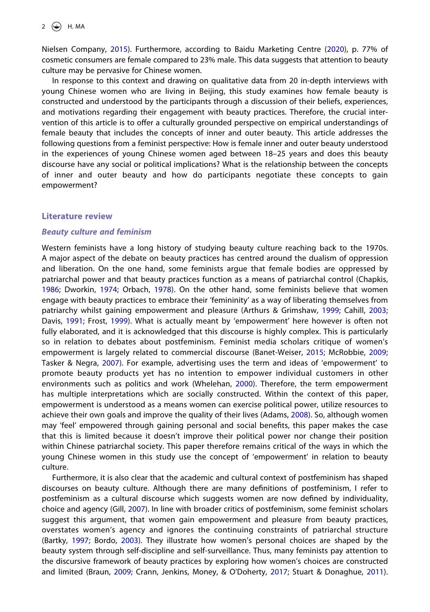<span id="page-2-2"></span>Nielsen Company, [2015](#page-12-3)). Furthermore, according to Baidu Marketing Centre [\(2020](#page-11-0)), p. 77% of cosmetic consumers are female compared to 23% male. This data suggests that attention to beauty culture may be pervasive for Chinese women.

In response to this context and drawing on qualitative data from 20 in-depth interviews with young Chinese women who are living in Beijing, this study examines how female beauty is constructed and understood by the participants through a discussion of their beliefs, experiences, and motivations regarding their engagement with beauty practices. Therefore, the crucial intervention of this article is to offer a culturally grounded perspective on empirical understandings of female beauty that includes the concepts of inner and outer beauty. This article addresses the following questions from a feminist perspective: How is female inner and outer beauty understood in the experiences of young Chinese women aged between 18–25 years and does this beauty discourse have any social or political implications? What is the relationship between the concepts of inner and outer beauty and how do participants negotiate these concepts to gain empowerment?

## **Literature review**

## *Beauty culture and feminism*

<span id="page-2-10"></span><span id="page-2-8"></span><span id="page-2-7"></span><span id="page-2-6"></span><span id="page-2-3"></span><span id="page-2-1"></span>Western feminists have a long history of studying beauty culture reaching back to the 1970s. A major aspect of the debate on beauty practices has centred around the dualism of oppression and liberation. On the one hand, some feminists argue that female bodies are oppressed by patriarchal power and that beauty practices function as a means of patriarchal control (Chapkis, [1986;](#page-11-1) Dworkin, [1974](#page-12-4); Orbach, [1978\)](#page-12-5). On the other hand, some feminists believe that women engage with beauty practices to embrace their 'femininity' as a way of liberating themselves from patriarchy whilst gaining empowerment and pleasure (Arthurs & Grimshaw, [1999](#page-11-2); Cahill, [2003](#page-11-3); Davis, [1991](#page-11-4); Frost, [1999\)](#page-12-6). What is actually meant by 'empowerment' here however is often not fully elaborated, and it is acknowledged that this discourse is highly complex. This is particularly so in relation to debates about postfeminism. Feminist media scholars critique of women's empowerment is largely related to commercial discourse (Banet-Weiser, [2015](#page-11-5); McRobbie, [2009](#page-12-7); Tasker & Negra, [2007\)](#page-12-8). For example, advertising uses the term and ideas of 'empowerment' to promote beauty products yet has no intention to empower individual customers in other environments such as politics and work (Whelehan, [2000](#page-13-1)). Therefore, the term empowerment has multiple interpretations which are socially constructed. Within the context of this paper, empowerment is understood as a means women can exercise political power, utilize resources to achieve their own goals and improve the quality of their lives (Adams, [2008\)](#page-11-6). So, although women may 'feel' empowered through gaining personal and social benefits, this paper makes the case that this is limited because it doesn't improve their political power nor change their position within Chinese patriarchal society. This paper therefore remains critical of the ways in which the young Chinese women in this study use the concept of 'empowerment' in relation to beauty culture.

<span id="page-2-11"></span><span id="page-2-9"></span><span id="page-2-5"></span><span id="page-2-4"></span><span id="page-2-0"></span>Furthermore, it is also clear that the academic and cultural context of postfeminism has shaped discourses on beauty culture. Although there are many definitions of postfeminism, I refer to postfeminism as a cultural discourse which suggests women are now defined by individuality, choice and agency (Gill, [2007\)](#page-12-9). In line with broader critics of postfeminism, some feminist scholars suggest this argument, that women gain empowerment and pleasure from beauty practices, overstates women's agency and ignores the continuing constraints of patriarchal structure (Bartky, [1997;](#page-11-7) Bordo, [2003\)](#page-11-8). They illustrate how women's personal choices are shaped by the beauty system through self-discipline and self-surveillance. Thus, many feminists pay attention to the discursive framework of beauty practices by exploring how women's choices are constructed and limited (Braun, [2009](#page-11-9); Crann, Jenkins, Money, & O'Doherty, [2017](#page-11-10); Stuart & Donaghue, [2011\)](#page-12-10).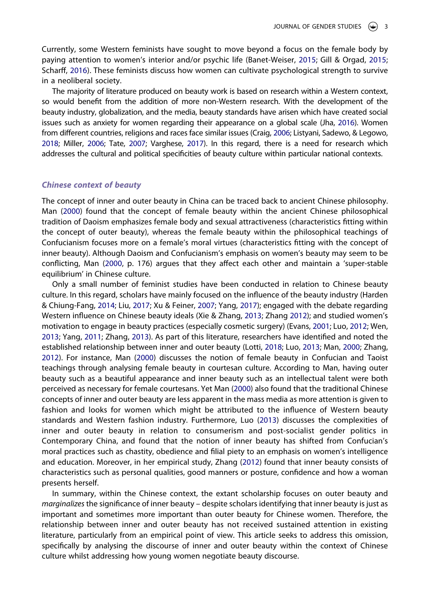<span id="page-3-9"></span><span id="page-3-2"></span>Currently, some Western feminists have sought to move beyond a focus on the female body by paying attention to women's interior and/or psychic life (Banet-Weiser, [2015;](#page-11-5) Gill & Orgad, [2015](#page-12-11); Scharff, [2016](#page-12-12)). These feminists discuss how women can cultivate psychological strength to survive in a neoliberal society.

<span id="page-3-4"></span><span id="page-3-0"></span>The majority of literature produced on beauty work is based on research within a Western context, so would benefit from the addition of more non-Western research. With the development of the beauty industry, globalization, and the media, beauty standards have arisen which have created social issues such as anxiety for women regarding their appearance on a global scale (Jha, [2016\)](#page-12-13). Women from different countries, religions and races face similar issues (Craig, [2006;](#page-11-11) Listyani, Sadewo, & Legowo, [2018;](#page-12-14) Miller, [2006](#page-12-15); Tate, [2007;](#page-12-16) Varghese, [2017\)](#page-12-17). In this regard, there is a need for research which addresses the cultural and political specificities of beauty culture within particular national contexts.

#### <span id="page-3-8"></span>*Chinese context of beauty*

The concept of inner and outer beauty in China can be traced back to ancient Chinese philosophy. Man [\(2000\)](#page-12-18) found that the concept of female beauty within the ancient Chinese philosophical tradition of Daoism emphasizes female body and sexual attractiveness (characteristics fitting within the concept of outer beauty), whereas the female beauty within the philosophical teachings of Confucianism focuses more on a female's moral virtues (characteristics fitting with the concept of inner beauty). Although Daoism and Confucianism's emphasis on women's beauty may seem to be conflicting, Man ([2000](#page-12-18), p. 176) argues that they affect each other and maintain a 'super-stable equilibrium' in Chinese culture.

<span id="page-3-11"></span><span id="page-3-10"></span><span id="page-3-7"></span><span id="page-3-5"></span><span id="page-3-3"></span><span id="page-3-1"></span>Only a small number of feminist studies have been conducted in relation to Chinese beauty culture. In this regard, scholars have mainly focused on the influence of the beauty industry (Harden & Chiung-Fang, [2014;](#page-12-19) Liu, [2017;](#page-12-20) Xu & Feiner, [2007](#page-13-0); Yang, [2017](#page-13-2)); engaged with the debate regarding Western influence on Chinese beauty ideals (Xie & Zhang, [2013](#page-13-3); Zhang [2012](#page-13-4)); and studied women's motivation to engage in beauty practices (especially cosmetic surgery) (Evans, [2001](#page-12-21); Luo, [2012](#page-12-22); Wen, [2013;](#page-12-23) Yang, [2011](#page-13-5); Zhang, [2013\)](#page-13-6). As part of this literature, researchers have identified and noted the established relationship between inner and outer beauty (Lotti, [2018](#page-12-24); Luo, [2013;](#page-12-25) Man, [2000](#page-12-18); Zhang, [2012\)](#page-13-4). For instance, Man ([2000](#page-12-18)) discusses the notion of female beauty in Confucian and Taoist teachings through analysing female beauty in courtesan culture. According to Man, having outer beauty such as a beautiful appearance and inner beauty such as an intellectual talent were both perceived as necessary for female courtesans. Yet Man [\(2000\)](#page-12-18) also found that the traditional Chinese concepts of inner and outer beauty are less apparent in the mass media as more attention is given to fashion and looks for women which might be attributed to the influence of Western beauty standards and Western fashion industry. Furthermore, Luo ([2013](#page-12-25)) discusses the complexities of inner and outer beauty in relation to consumerism and post-socialist gender politics in Contemporary China, and found that the notion of inner beauty has shifted from Confucian's moral practices such as chastity, obedience and filial piety to an emphasis on women's intelligence and education. Moreover, in her empirical study, Zhang [\(2012\)](#page-13-4) found that inner beauty consists of characteristics such as personal qualities, good manners or posture, confidence and how a woman presents herself.

<span id="page-3-12"></span><span id="page-3-6"></span>In summary, within the Chinese context, the extant scholarship focuses on outer beauty and *marginalizes* the significance of inner beauty – despite scholars identifying that inner beauty is just as important and sometimes more important than outer beauty for Chinese women. Therefore, the relationship between inner and outer beauty has not received sustained attention in existing literature, particularly from an empirical point of view. This article seeks to address this omission, specifically by analysing the discourse of inner and outer beauty within the context of Chinese culture whilst addressing how young women negotiate beauty discourse.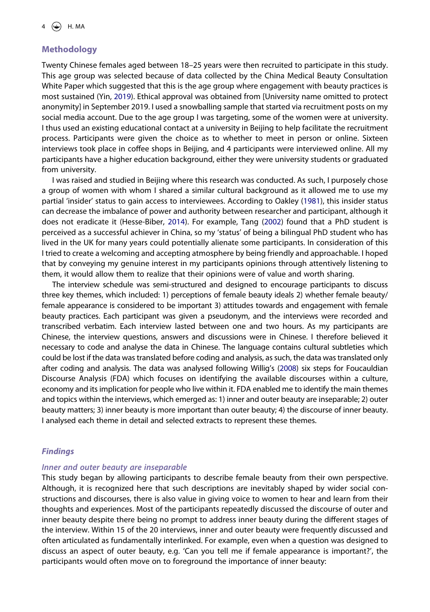# **Methodology**

<span id="page-4-3"></span>Twenty Chinese females aged between 18–25 years were then recruited to participate in this study. This age group was selected because of data collected by the China Medical Beauty Consultation White Paper which suggested that this is the age group where engagement with beauty practices is most sustained (Yin, [2019](#page-13-7)). Ethical approval was obtained from [University name omitted to protect anonymity] in September 2019. I used a snowballing sample that started via recruitment posts on my social media account. Due to the age group I was targeting, some of the women were at university. I thus used an existing educational contact at a university in Beijing to help facilitate the recruitment process. Participants were given the choice as to whether to meet in person or online. Sixteen interviews took place in coffee shops in Beijing, and 4 participants were interviewed online. All my participants have a higher education background, either they were university students or graduated from university.

<span id="page-4-1"></span><span id="page-4-0"></span>I was raised and studied in Beijing where this research was conducted. As such, I purposely chose a group of women with whom I shared a similar cultural background as it allowed me to use my partial 'insider' status to gain access to interviewees. According to Oakley [\(1981\)](#page-12-26), this insider status can decrease the imbalance of power and authority between researcher and participant, although it does not eradicate it (Hesse-Biber, [2014](#page-12-27)). For example, Tang [\(2002\)](#page-12-28) found that a PhD student is perceived as a successful achiever in China, so my 'status' of being a bilingual PhD student who has lived in the UK for many years could potentially alienate some participants. In consideration of this I tried to create a welcoming and accepting atmosphere by being friendly and approachable. I hoped that by conveying my genuine interest in my participants opinions through attentively listening to them, it would allow them to realize that their opinions were of value and worth sharing.

<span id="page-4-2"></span>The interview schedule was semi-structured and designed to encourage participants to discuss three key themes, which included: 1) perceptions of female beauty ideals 2) whether female beauty/ female appearance is considered to be important 3) attitudes towards and engagement with female beauty practices. Each participant was given a pseudonym, and the interviews were recorded and transcribed verbatim. Each interview lasted between one and two hours. As my participants are Chinese, the interview questions, answers and discussions were in Chinese. I therefore believed it necessary to code and analyse the data in Chinese. The language contains cultural subtleties which could be lost if the data was translated before coding and analysis, as such, the data was translated only after coding and analysis. The data was analysed following Willig's [\(2008](#page-13-8)) six steps for Foucauldian Discourse Analysis (FDA) which focuses on identifying the available discourses within a culture, economy and its implication for people who live within it. FDA enabled me to identify the main themes and topics within the interviews, which emerged as: 1) inner and outer beauty are inseparable; 2) outer beauty matters; 3) inner beauty is more important than outer beauty; 4) the discourse of inner beauty. I analysed each theme in detail and selected extracts to represent these themes.

# *Findings*

## *Inner and outer beauty are inseparable*

This study began by allowing participants to describe female beauty from their own perspective. Although, it is recognized here that such descriptions are inevitably shaped by wider social constructions and discourses, there is also value in giving voice to women to hear and learn from their thoughts and experiences. Most of the participants repeatedly discussed the discourse of outer and inner beauty despite there being no prompt to address inner beauty during the different stages of the interview. Within 15 of the 20 interviews, inner and outer beauty were frequently discussed and often articulated as fundamentally interlinked. For example, even when a question was designed to discuss an aspect of outer beauty, e.g. 'Can you tell me if female appearance is important?', the participants would often move on to foreground the importance of inner beauty: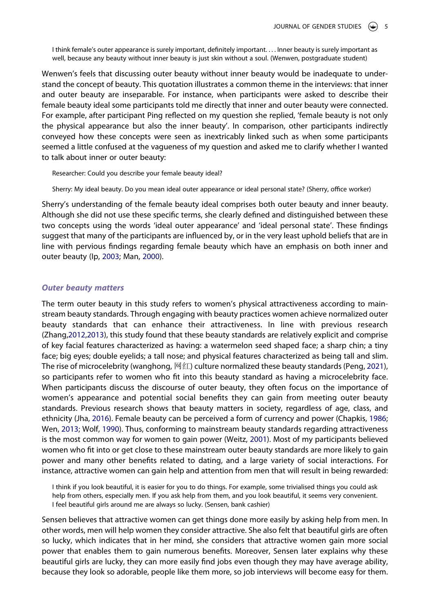I think female's outer appearance is surely important, definitely important. . . . Inner beauty is surely important as well, because any beauty without inner beauty is just skin without a soul. (Wenwen, postgraduate student)

Wenwen's feels that discussing outer beauty without inner beauty would be inadequate to understand the concept of beauty. This quotation illustrates a common theme in the interviews: that inner and outer beauty are inseparable. For instance, when participants were asked to describe their female beauty ideal some participants told me directly that inner and outer beauty were connected. For example, after participant Ping reflected on my question she replied, 'female beauty is not only the physical appearance but also the inner beauty'. In comparison, other participants indirectly conveyed how these concepts were seen as inextricably linked such as when some participants seemed a little confused at the vagueness of my question and asked me to clarify whether I wanted to talk about inner or outer beauty:

Researcher: Could you describe your female beauty ideal?

Sherry: My ideal beauty. Do you mean ideal outer appearance or ideal personal state? (Sherry, office worker)

Sherry's understanding of the female beauty ideal comprises both outer beauty and inner beauty. Although she did not use these specific terms, she clearly defined and distinguished between these two concepts using the words 'ideal outer appearance' and 'ideal personal state'. These findings suggest that many of the participants are influenced by, or in the very least uphold beliefs that are in line with pervious findings regarding female beauty which have an emphasis on both inner and outer beauty (Ip, [2003;](#page-12-2) Man, [2000](#page-12-18)).

#### *Outer beauty matters*

<span id="page-5-0"></span>The term outer beauty in this study refers to women's physical attractiveness according to mainstream beauty standards. Through engaging with beauty practices women achieve normalized outer beauty standards that can enhance their attractiveness. In line with previous research (Zhang[,2012,](#page-13-4)[2013](#page-13-6)), this study found that these beauty standards are relatively explicit and comprise of key facial features characterized as having: a watermelon seed shaped face; a sharp chin; a tiny face; big eyes; double eyelids; a tall nose; and physical features characterized as being tall and slim. The rise of microcelebrity (wanghong, 网红) culture normalized these beauty standards (Peng, [2021\)](#page-12-29), so participants refer to women who fit into this beauty standard as having a microcelebrity face. When participants discuss the discourse of outer beauty, they often focus on the importance of women's appearance and potential social benefits they can gain from meeting outer beauty standards. Previous research shows that beauty matters in society, regardless of age, class, and ethnicity (Jha, [2016](#page-12-13)). Female beauty can be perceived a form of currency and power (Chapkis, [1986](#page-11-1); Wen, [2013](#page-12-23); Wolf, [1990\)](#page-13-9). Thus, conforming to mainstream beauty standards regarding attractiveness is the most common way for women to gain power (Weitz, [2001](#page-12-30)). Most of my participants believed women who fit into or get close to these mainstream outer beauty standards are more likely to gain power and many other benefits related to dating, and a large variety of social interactions. For instance, attractive women can gain help and attention from men that will result in being rewarded:

<span id="page-5-2"></span><span id="page-5-1"></span>I think if you look beautiful, it is easier for you to do things. For example, some trivialised things you could ask help from others, especially men. If you ask help from them, and you look beautiful, it seems very convenient. I feel beautiful girls around me are always so lucky. (Sensen, bank cashier)

Sensen believes that attractive women can get things done more easily by asking help from men. In other words, men will help women they consider attractive. She also felt that beautiful girls are often so lucky, which indicates that in her mind, she considers that attractive women gain more social power that enables them to gain numerous benefits. Moreover, Sensen later explains why these beautiful girls are lucky, they can more easily find jobs even though they may have average ability, because they look so adorable, people like them more, so job interviews will become easy for them.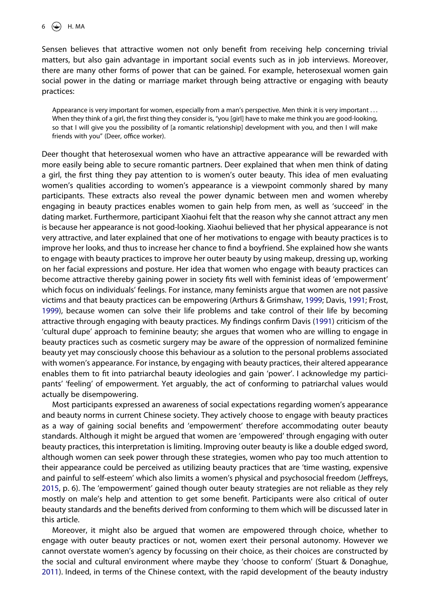Sensen believes that attractive women not only benefit from receiving help concerning trivial matters, but also gain advantage in important social events such as in job interviews. Moreover, there are many other forms of power that can be gained. For example, heterosexual women gain social power in the dating or marriage market through being attractive or engaging with beauty practices:

Appearance is very important for women, especially from a man's perspective. Men think it is very important . . . When they think of a girl, the first thing they consider is, "you [girl] have to make me think you are good-looking, so that I will give you the possibility of [a romantic relationship] development with you, and then I will make friends with you" (Deer, office worker).

Deer thought that heterosexual women who have an attractive appearance will be rewarded with more easily being able to secure romantic partners. Deer explained that when men think of dating a girl, the first thing they pay attention to is women's outer beauty. This idea of men evaluating women's qualities according to women's appearance is a viewpoint commonly shared by many participants. These extracts also reveal the power dynamic between men and women whereby engaging in beauty practices enables women to gain help from men, as well as 'succeed' in the dating market. Furthermore, participant Xiaohui felt that the reason why she cannot attract any men is because her appearance is not good-looking. Xiaohui believed that her physical appearance is not very attractive, and later explained that one of her motivations to engage with beauty practices is to improve her looks, and thus to increase her chance to find a boyfriend. She explained how she wants to engage with beauty practices to improve her outer beauty by using makeup, dressing up, working on her facial expressions and posture. Her idea that women who engage with beauty practices can become attractive thereby gaining power in society fits well with feminist ideas of 'empowerment' which focus on individuals' feelings. For instance, many feminists argue that women are not passive victims and that beauty practices can be empowering (Arthurs & Grimshaw, [1999;](#page-11-2) Davis, [1991](#page-11-4); Frost, [1999\)](#page-12-6), because women can solve their life problems and take control of their life by becoming attractive through engaging with beauty practices. My findings confirm Davis ([1991](#page-11-4)) criticism of the 'cultural dupe' approach to feminine beauty; she argues that women who are willing to engage in beauty practices such as cosmetic surgery may be aware of the oppression of normalized feminine beauty yet may consciously choose this behaviour as a solution to the personal problems associated with women's appearance. For instance, by engaging with beauty practices, their altered appearance enables them to fit into patriarchal beauty ideologies and gain 'power'. I acknowledge my participants' 'feeling' of empowerment. Yet arguably, the act of conforming to patriarchal values would actually be disempowering.

Most participants expressed an awareness of social expectations regarding women's appearance and beauty norms in current Chinese society. They actively choose to engage with beauty practices as a way of gaining social benefits and 'empowerment' therefore accommodating outer beauty standards. Although it might be argued that women are 'empowered' through engaging with outer beauty practices, this interpretation is limiting. Improving outer beauty is like a double edged sword, although women can seek power through these strategies, women who pay too much attention to their appearance could be perceived as utilizing beauty practices that are 'time wasting, expensive and painful to self-esteem' which also limits a women's physical and psychosocial freedom (Jeffreys, [2015,](#page-12-31) p. 6). The 'empowerment' gained though outer beauty strategies are not reliable as they rely mostly on male's help and attention to get some benefit. Participants were also critical of outer beauty standards and the benefits derived from conforming to them which will be discussed later in this article.

<span id="page-6-0"></span>Moreover, it might also be argued that women are empowered through choice, whether to engage with outer beauty practices or not, women exert their personal autonomy. However we cannot overstate women's agency by focussing on their choice, as their choices are constructed by the social and cultural environment where maybe they 'choose to conform' (Stuart & Donaghue, [2011\)](#page-12-10). Indeed, in terms of the Chinese context, with the rapid development of the beauty industry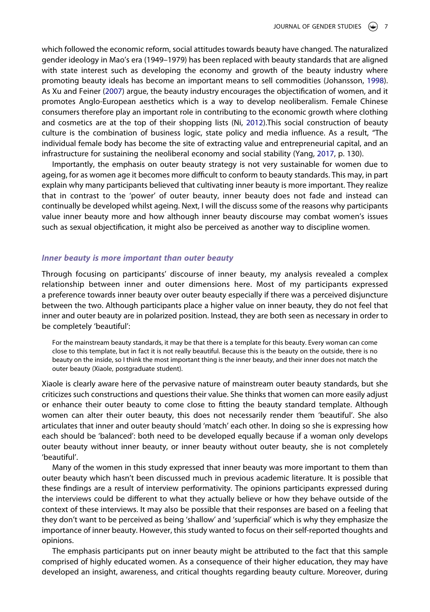<span id="page-7-0"></span>which followed the economic reform, social attitudes towards beauty have changed. The naturalized gender ideology in Mao's era (1949–1979) has been replaced with beauty standards that are aligned with state interest such as developing the economy and growth of the beauty industry where promoting beauty ideals has become an important means to sell commodities (Johansson, [1998\)](#page-12-32). As Xu and Feiner ([2007](#page-13-0)) argue, the beauty industry encourages the objectification of women, and it promotes Anglo-European aesthetics which is a way to develop neoliberalism. Female Chinese consumers therefore play an important role in contributing to the economic growth where clothing and cosmetics are at the top of their shopping lists (Ni, [2012\)](#page-12-33).This social construction of beauty culture is the combination of business logic, state policy and media influence. As a result, "The individual female body has become the site of extracting value and entrepreneurial capital, and an infrastructure for sustaining the neoliberal economy and social stability (Yang, [2017](#page-13-2), p. 130).

<span id="page-7-1"></span>Importantly, the emphasis on outer beauty strategy is not very sustainable for women due to ageing, for as women age it becomes more difficult to conform to beauty standards. This may, in part explain why many participants believed that cultivating inner beauty is more important. They realize that in contrast to the 'power' of outer beauty, inner beauty does not fade and instead can continually be developed whilst ageing. Next, I will the discuss some of the reasons why participants value inner beauty more and how although inner beauty discourse may combat women's issues such as sexual objectification, it might also be perceived as another way to discipline women.

# *Inner beauty is more important than outer beauty*

Through focusing on participants' discourse of inner beauty, my analysis revealed a complex relationship between inner and outer dimensions here. Most of my participants expressed a preference towards inner beauty over outer beauty especially if there was a perceived disjuncture between the two. Although participants place a higher value on inner beauty, they do not feel that inner and outer beauty are in polarized position. Instead, they are both seen as necessary in order to be completely 'beautiful':

For the mainstream beauty standards, it may be that there is a template for this beauty. Every woman can come close to this template, but in fact it is not really beautiful. Because this is the beauty on the outside, there is no beauty on the inside, so I think the most important thing is the inner beauty, and their inner does not match the outer beauty (Xiaole, postgraduate student).

Xiaole is clearly aware here of the pervasive nature of mainstream outer beauty standards, but she criticizes such constructions and questions their value. She thinks that women can more easily adjust or enhance their outer beauty to come close to fitting the beauty standard template. Although women can alter their outer beauty, this does not necessarily render them 'beautiful'. She also articulates that inner and outer beauty should 'match' each other. In doing so she is expressing how each should be 'balanced': both need to be developed equally because if a woman only develops outer beauty without inner beauty, or inner beauty without outer beauty, she is not completely 'beautiful'.

Many of the women in this study expressed that inner beauty was more important to them than outer beauty which hasn't been discussed much in previous academic literature. It is possible that these findings are a result of interview performativity. The opinions participants expressed during the interviews could be different to what they actually believe or how they behave outside of the context of these interviews. It may also be possible that their responses are based on a feeling that they don't want to be perceived as being 'shallow' and 'superficial' which is why they emphasize the importance of inner beauty. However, this study wanted to focus on their self-reported thoughts and opinions.

The emphasis participants put on inner beauty might be attributed to the fact that this sample comprised of highly educated women. As a consequence of their higher education, they may have developed an insight, awareness, and critical thoughts regarding beauty culture. Moreover, during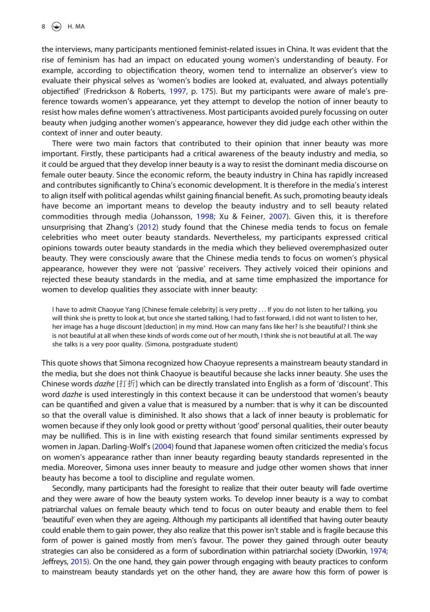<span id="page-8-1"></span>the interviews, many participants mentioned feminist-related issues in China. It was evident that the rise of feminism has had an impact on educated young women's understanding of beauty. For example, according to objectification theory, women tend to internalize an observer's view to evaluate their physical selves as 'women's bodies are looked at, evaluated, and always potentially objectified' (Fredrickson & Roberts, [1997,](#page-12-34) p. 175). But my participants were aware of male's preference towards women's appearance, yet they attempt to develop the notion of inner beauty to resist how males define women's attractiveness. Most participants avoided purely focussing on outer beauty when judging another women's appearance, however they did judge each other within the context of inner and outer beauty.

There were two main factors that contributed to their opinion that inner beauty was more important. Firstly, these participants had a critical awareness of the beauty industry and media, so it could be argued that they develop inner beauty is a way to resist the dominant media discourse on female outer beauty. Since the economic reform, the beauty industry in China has rapidly increased and contributes significantly to China's economic development. It is therefore in the media's interest to align itself with political agendas whilst gaining financial benefit. As such, promoting beauty ideals have become an important means to develop the beauty industry and to sell beauty related commodities through media (Johansson, [1998](#page-12-32); Xu & Feiner, [2007\)](#page-13-0). Given this, it is therefore unsurprising that Zhang's ([2012](#page-13-4)) study found that the Chinese media tends to focus on female celebrities who meet outer beauty standards. Nevertheless, my participants expressed critical opinions towards outer beauty standards in the media which they believed overemphasized outer beauty. They were consciously aware that the Chinese media tends to focus on women's physical appearance, however they were not 'passive' receivers. They actively voiced their opinions and rejected these beauty standards in the media, and at same time emphasized the importance for women to develop qualities they associate with inner beauty:

I have to admit Chaoyue Yang [Chinese female celebrity] is very pretty . . . If you do not listen to her talking, you will think she is pretty to look at, but once she started talking, I had to fast forward, I did not want to listen to her, her image has a huge discount [deduction] in my mind. How can many fans like her? Is she beautiful? I think she is not beautiful at all when these kinds of words come out of her mouth, I think she is not beautiful at all. The way she talks is a very poor quality. (Simona, postgraduate student)

This quote shows that Simona recognized how Chaoyue represents a mainstream beauty standard in the media, but she does not think Chaoyue is beautiful because she lacks inner beauty. She uses the Chinese words *dazhe* [打折] which can be directly translated into English as a form of 'discount'. This word *dazhe* is used interestingly in this context because it can be understood that women's beauty can be quantified and given a value that is measured by a number: that is why it can be discounted so that the overall value is diminished. It also shows that a lack of inner beauty is problematic for women because if they only look good or pretty without 'good' personal qualities, their outer beauty may be nullified. This is in line with existing research that found similar sentiments expressed by women in Japan. Darling-Wolf's [\(2004\)](#page-11-12) found that Japanese women often criticized the media's focus on women's appearance rather than inner beauty regarding beauty standards represented in the media. Moreover, Simona uses inner beauty to measure and judge other women shows that inner beauty has become a tool to discipline and regulate women.

<span id="page-8-0"></span>Secondly, many participants had the foresight to realize that their outer beauty will fade overtime and they were aware of how the beauty system works. To develop inner beauty is a way to combat patriarchal values on female beauty which tend to focus on outer beauty and enable them to feel 'beautiful' even when they are ageing. Although my participants all identified that having outer beauty could enable them to gain power, they also realize that this power isn't stable and is fragile because this form of power is gained mostly from men's favour. The power they gained through outer beauty strategies can also be considered as a form of subordination within patriarchal society (Dworkin, [1974](#page-12-4); Jeffreys, [2015\)](#page-12-31). On the one hand, they gain power through engaging with beauty practices to conform to mainstream beauty standards yet on the other hand, they are aware how this form of power is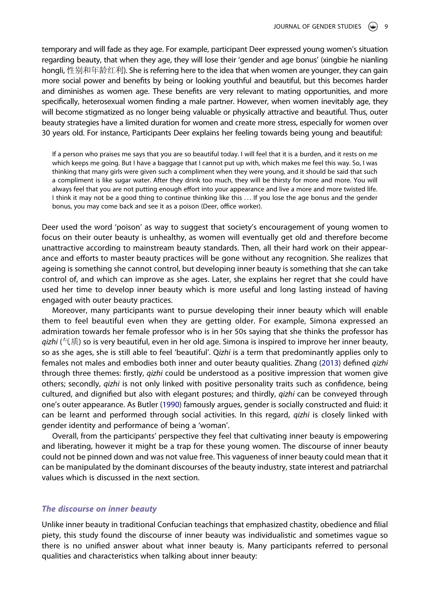temporary and will fade as they age. For example, participant Deer expressed young women's situation regarding beauty, that when they age, they will lose their 'gender and age bonus' (xingbie he nianling hongli, 性别和年龄红利). She is referring here to the idea that when women are younger, they can gain more social power and benefits by being or looking youthful and beautiful, but this becomes harder and diminishes as women age. These benefits are very relevant to mating opportunities, and more specifically, heterosexual women finding a male partner. However, when women inevitably age, they will become stigmatized as no longer being valuable or physically attractive and beautiful. Thus, outer beauty strategies have a limited duration for women and create more stress, especially for women over 30 years old. For instance, Participants Deer explains her feeling towards being young and beautiful:

If a person who praises me says that you are so beautiful today. I will feel that it is a burden, and it rests on me which keeps me going. But I have a baggage that I cannot put up with, which makes me feel this way. So, I was thinking that many girls were given such a compliment when they were young, and it should be said that such a compliment is like sugar water. After they drink too much, they will be thirsty for more and more. You will always feel that you are not putting enough effort into your appearance and live a more and more twisted life. I think it may not be a good thing to continue thinking like this . . . If you lose the age bonus and the gender bonus, you may come back and see it as a poison (Deer, office worker).

Deer used the word 'poison' as way to suggest that society's encouragement of young women to focus on their outer beauty is unhealthy, as women will eventually get old and therefore become unattractive according to mainstream beauty standards. Then, all their hard work on their appearance and efforts to master beauty practices will be gone without any recognition. She realizes that ageing is something she cannot control, but developing inner beauty is something that she can take control of, and which can improve as she ages. Later, she explains her regret that she could have used her time to develop inner beauty which is more useful and long lasting instead of having engaged with outer beauty practices.

Moreover, many participants want to pursue developing their inner beauty which will enable them to feel beautiful even when they are getting older. For example, Simona expressed an admiration towards her female professor who is in her 50s saying that she thinks the professor has *qizhi* (气质) so is very beautiful, even in her old age. Simona is inspired to improve her inner beauty, so as she ages, she is still able to feel 'beautiful'. Q*izhi* is a term that predominantly applies only to females not males and embodies both inner and outer beauty qualities. Zhang [\(2013\)](#page-13-6) defined *qizhi*  through three themes: firstly, *qizhi* could be understood as a positive impression that women give others; secondly, *qizhi* is not only linked with positive personality traits such as confidence, being cultured, and dignified but also with elegant postures; and thirdly, *qizhi* can be conveyed through one's outer appearance. As Butler [\(1990\)](#page-11-13) famously argues, gender is socially constructed and fluid: it can be learnt and performed through social activities. In this regard, *qizhi* is closely linked with gender identity and performance of being a 'woman'.

<span id="page-9-0"></span>Overall, from the participants' perspective they feel that cultivating inner beauty is empowering and liberating, however it might be a trap for these young women. The discourse of inner beauty could not be pinned down and was not value free. This vagueness of inner beauty could mean that it can be manipulated by the dominant discourses of the beauty industry, state interest and patriarchal values which is discussed in the next section.

## *The discourse on inner beauty*

Unlike inner beauty in traditional Confucian teachings that emphasized chastity, obedience and filial piety, this study found the discourse of inner beauty was individualistic and sometimes vague so there is no unified answer about what inner beauty is. Many participants referred to personal qualities and characteristics when talking about inner beauty: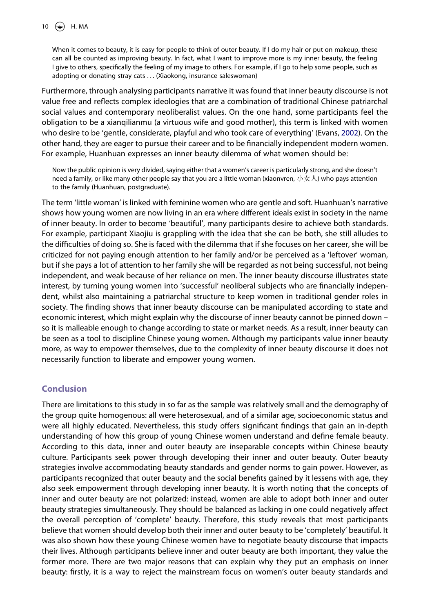When it comes to beauty, it is easy for people to think of outer beauty. If I do my hair or put on makeup, these can all be counted as improving beauty. In fact, what I want to improve more is my inner beauty, the feeling I give to others, specifically the feeling of my image to others. For example, if I go to help some people, such as adopting or donating stray cats . . . (Xiaokong, insurance saleswoman)

<span id="page-10-0"></span>Furthermore, through analysing participants narrative it was found that inner beauty discourse is not value free and reflects complex ideologies that are a combination of traditional Chinese patriarchal social values and contemporary neoliberalist values. On the one hand, some participants feel the obligation to be a xianqilianmu (a virtuous wife and good mother), this term is linked with women who desire to be 'gentle, considerate, playful and who took care of everything' (Evans, [2002](#page-12-35)). On the other hand, they are eager to pursue their career and to be financially independent modern women. For example, Huanhuan expresses an inner beauty dilemma of what women should be:

Now the public opinion is very divided, saying either that a women's career is particularly strong, and she doesn't need a family, or like many other people say that you are a little woman (xiaonvren, 小女人) who pays attention to the family (Huanhuan, postgraduate).

The term 'little woman' is linked with feminine women who are gentle and soft. Huanhuan's narrative shows how young women are now living in an era where different ideals exist in society in the name of inner beauty. In order to become 'beautiful', many participants desire to achieve both standards. For example, participant Xiaojiu is grappling with the idea that she can be both, she still alludes to the difficulties of doing so. She is faced with the dilemma that if she focuses on her career, she will be criticized for not paying enough attention to her family and/or be perceived as a 'leftover' woman, but if she pays a lot of attention to her family she will be regarded as not being successful, not being independent, and weak because of her reliance on men. The inner beauty discourse illustrates state interest, by turning young women into 'successful' neoliberal subjects who are financially independent, whilst also maintaining a patriarchal structure to keep women in traditional gender roles in society. The finding shows that inner beauty discourse can be manipulated according to state and economic interest, which might explain why the discourse of inner beauty cannot be pinned down – so it is malleable enough to change according to state or market needs. As a result, inner beauty can be seen as a tool to discipline Chinese young women. Although my participants value inner beauty more, as way to empower themselves, due to the complexity of inner beauty discourse it does not necessarily function to liberate and empower young women.

# **Conclusion**

There are limitations to this study in so far as the sample was relatively small and the demography of the group quite homogenous: all were heterosexual, and of a similar age, socioeconomic status and were all highly educated. Nevertheless, this study offers significant findings that gain an in-depth understanding of how this group of young Chinese women understand and define female beauty. According to this data, inner and outer beauty are inseparable concepts within Chinese beauty culture. Participants seek power through developing their inner and outer beauty. Outer beauty strategies involve accommodating beauty standards and gender norms to gain power. However, as participants recognized that outer beauty and the social benefits gained by it lessens with age, they also seek empowerment through developing inner beauty. It is worth noting that the concepts of inner and outer beauty are not polarized: instead, women are able to adopt both inner and outer beauty strategies simultaneously. They should be balanced as lacking in one could negatively affect the overall perception of 'complete' beauty. Therefore, this study reveals that most participants believe that women should develop both their inner and outer beauty to be 'completely' beautiful. It was also shown how these young Chinese women have to negotiate beauty discourse that impacts their lives. Although participants believe inner and outer beauty are both important, they value the former more. There are two major reasons that can explain why they put an emphasis on inner beauty: firstly, it is a way to reject the mainstream focus on women's outer beauty standards and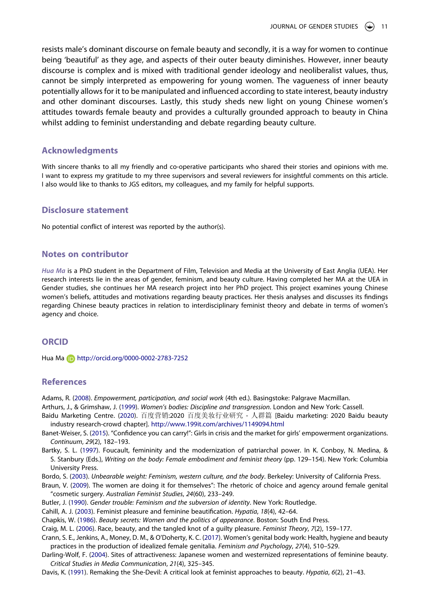resists male's dominant discourse on female beauty and secondly, it is a way for women to continue being 'beautiful' as they age, and aspects of their outer beauty diminishes. However, inner beauty discourse is complex and is mixed with traditional gender ideology and neoliberalist values, thus, cannot be simply interpreted as empowering for young women. The vagueness of inner beauty potentially allows for it to be manipulated and influenced according to state interest, beauty industry and other dominant discourses. Lastly, this study sheds new light on young Chinese women's attitudes towards female beauty and provides a culturally grounded approach to beauty in China whilst adding to feminist understanding and debate regarding beauty culture.

### **Acknowledgments**

With sincere thanks to all my friendly and co-operative participants who shared their stories and opinions with me. I want to express my gratitude to my three supervisors and several reviewers for insightful comments on this article. I also would like to thanks to JGS editors, my colleagues, and my family for helpful supports.

#### **Disclosure statement**

No potential conflict of interest was reported by the author(s).

# **Notes on contributor**

*Hua Ma* is a PhD student in the Department of Film, Television and Media at the University of East Anglia (UEA). Her research interests lie in the areas of gender, feminism, and beauty culture. Having completed her MA at the UEA in Gender studies, she continues her MA research project into her PhD project. This project examines young Chinese women's beliefs, attitudes and motivations regarding beauty practices. Her thesis analyses and discusses its findings regarding Chinese beauty practices in relation to interdisciplinary feminist theory and debate in terms of women's agency and choice.

#### **ORCID**

Hua Ma http://orcid.org/0000-0002-2783-7252

# **References**

<span id="page-11-6"></span>Adams, R. [\(2008\)](#page-2-0). *Empowerment, participation, and social work* (4th ed.). Basingstoke: Palgrave Macmillan.

<span id="page-11-2"></span>Arthurs, J., & Grimshaw, J. ([1999](#page-2-1)). *Women's bodies: Discipline and transgression*. London and New York: Cassell.

- <span id="page-11-0"></span>Baidu Marketing Centre. ([2020](#page-2-2)). 百度营销:2020 百度美妆行业研究 - 人群篇 [Baidu marketing: 2020 Baidu beauty industry research-crowd chapter]. <http://www.199it.com/archives/1149094.html>
- <span id="page-11-5"></span>Banet-Weiser, S. [\(2015\)](#page-2-3). "Confidence you can carry!": Girls in crisis and the market for girls' empowerment organizations. *Continuum*, *29*(2), 182–193.

<span id="page-11-7"></span>Bartky, S. L. [\(1997\)](#page-2-4). Foucault, femininity and the modernization of patriarchal power. In K. Conboy, N. Medina, & S. Stanbury (Eds.), *Writing on the body: Female embodiment and feminist theory* (pp. 129–154). New York: Columbia University Press.

<span id="page-11-8"></span>Bordo, S. [\(2003\)](#page-2-4). *Unbearable weight: Feminism, western culture, and the body*. Berkeley: University of California Press.

<span id="page-11-9"></span>Braun, V. [\(2009\)](#page-2-5). The women are doing it for themselves": The rhetoric of choice and agency around female genital "cosmetic surgery. *Australian Feminist Studies*, *24*(60), 233–249.

<span id="page-11-13"></span>Butler, J. ([1990](#page-9-0)). *Gender trouble: Feminism and the subversion of identity*. New York: Routledge.

<span id="page-11-3"></span>Cahill, A. J. [\(2003\)](#page-2-1). Feminist pleasure and feminine beautification. *Hypatia*, *18*(4), 42–64.

<span id="page-11-1"></span>Chapkis, W. [\(1986\)](#page-2-6). *Beauty secrets: Women and the politics of appearance*. Boston: South End Press.

<span id="page-11-11"></span>Craig, M. L. ([2006](#page-3-0)). Race, beauty, and the tangled knot of a guilty pleasure. *Feminist Theory*, *7*(2), 159–177.

<span id="page-11-10"></span>Crann, S. E., Jenkins, A., Money, D. M., & O'Doherty, K. C. ([2017\)](#page-2-5). Women's genital body work: Health, hygiene and beauty practices in the production of idealized female genitalia. *Feminism and Psychology*, *27*(4), 510–529.

<span id="page-11-12"></span>Darling-Wolf, F. ([2004](#page-8-0)). Sites of attractiveness: Japanese women and westernized representations of feminine beauty. *Critical Studies in Media Communication*, *21*(4), 325–345.

<span id="page-11-4"></span>Davis, K. [\(1991\)](#page-2-7). Remaking the She-Devil: A critical look at feminist approaches to beauty. *Hypatia*, *6*(2), 21–43.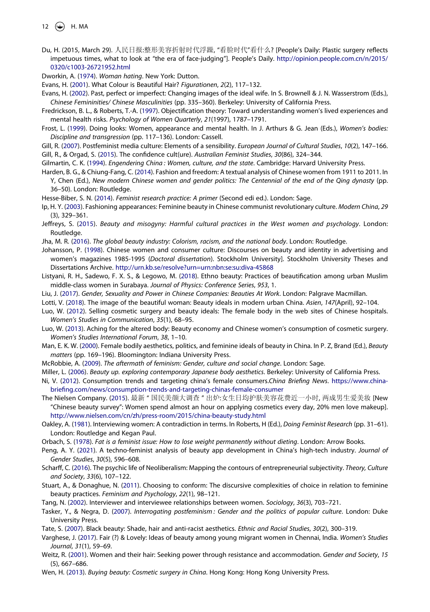- 12  $\bigodot$  H. MA
- <span id="page-12-1"></span>Du, H. (2015, March 29). 人民日报:整形美容折射时代浮躁, "看脸时代"看什么? [People's Daily: Plastic surgery reflects impetuous times, what to look at "the era of face-judging"]. People's Daily. [http://opinion.people.com.cn/n/2015/](http://opinion.people.com.cn/n/2015/0320/c1003-26721952.html) [0320/c1003-26721952.html](http://opinion.people.com.cn/n/2015/0320/c1003-26721952.html)

<span id="page-12-4"></span>Dworkin, A. [\(1974\)](#page-2-8). *Woman hating*. New York: Dutton.

<span id="page-12-21"></span>Evans, H. ([2001\)](#page-3-1). What Colour is Beautiful Hair? *Figurationen*, *2*(2), 117–132.

<span id="page-12-35"></span>Evans, H. [\(2002](#page-10-0)). Past, perfect or imperfect: Changing images of the ideal wife. In S. Brownell & J. N. Wasserstrom (Eds.), *Chinese Femininities/ Chinese Masculinities* (pp. 335–360). Berkeley: University of California Press.

<span id="page-12-34"></span>Fredrickson, B. L., & Roberts, T.-A. ([1997](#page-8-1)). Objectification theory: Toward understanding women's lived experiences and mental health risks. *Psychology of Women Quarterly*, *21*(1997), 1787–1791.

<span id="page-12-6"></span>Frost, L. ([1999](#page-2-7)). Doing looks: Women, appearance and mental health. In J. Arthurs & G. Jean (Eds.), *Women's bodies: Discipline and transgression* (pp. 117–136). London: Cassell.

<span id="page-12-11"></span><span id="page-12-9"></span>Gill, R. ([2007](#page-2-9)). Postfeminist media culture: Elements of a sensibility. *European Journal of Cultural Studies*, *10*(2), 147–166. Gill, R., & Orgad, S. ([2015](#page-3-2)). The confidence cult(ure). *Australian Feminist Studies*, *30*(86), 324–344.

<span id="page-12-0"></span>Gilmartin, C. K. ([1994](#page-1-0)). *Engendering China : Women, culture, and the state*. Cambridge: Harvard University Press.

- <span id="page-12-19"></span>Harden, B. G., & Chiung-Fang, C. ([2014](#page-3-3)). Fashion and freedom: A textual analysis of Chinese women from 1911 to 2011. In Y, Chen (Ed.), New modern Chinese women and gender politics: The Centennial of the end of the Qing dynasty (pp. 36–50). London: Routledge.
- <span id="page-12-27"></span>Hesse-Biber, S. N. ([2014\)](#page-4-0). *Feminist research practice: A primer* (Second edi ed.). London: Sage.
- <span id="page-12-2"></span>Ip, H. Y. [\(2003](#page-1-1)). Fashioning appearances: Feminine beauty in Chinese communist revolutionary culture. *Modern China*, *29*  (3), 329–361.
- <span id="page-12-31"></span>Jeffreys, S. ([2015](#page-6-0)). *Beauty and misogyny: Harmful cultural practices in the West women and psychology*. London: Routledge.
- <span id="page-12-13"></span>Jha, M. R. ([2016](#page-3-4)). *The global beauty industry: Colorism, racism, and the national body*. London: Routledge.
- <span id="page-12-32"></span>Johansson, P. [\(1998\)](#page-7-0). Chinese women and consumer culture: Discourses on beauty and identity in advertising and women's magazines 1985-1995 (*Doctoral dissertation*). Stockholm University]. Stockholm University Theses and Dissertations Archive. <http://urn.kb.se/resolve?urn=urn:nbn:se:su:diva-45868>
- <span id="page-12-14"></span>Listyani, R. H., Sadewo, F. X. S., & Legowo, M. ([2018](#page-3-0)). Ethno beauty: Practices of beautification among urban Muslim middle-class women in Surabaya. *Journal of Physics: Conference Series*, *953*, 1.
- <span id="page-12-20"></span>Liu, J. [\(2017](#page-3-3)). *Gender, Sexuality and Power in Chinese Companies: Beauties At Work*. London: Palgrave Macmillan.
- <span id="page-12-24"></span>Lotti, V. ([2018](#page-3-5)). The image of the beautiful woman: Beauty ideals in modern urban China. *Asien*, *147*(April), 92–104.
- <span id="page-12-22"></span>Luo, W. ([2012](#page-3-1)). Selling cosmetic surgery and beauty ideals: The female body in the web sites of Chinese hospitals. *Women's Studies in Communication*, *35*(1), 68–95.
- <span id="page-12-25"></span>Luo, W. [\(2013\)](#page-3-6). Aching for the altered body: Beauty economy and Chinese women's consumption of cosmetic surgery. *Women's Studies International Forum*, *38*, 1–10.
- <span id="page-12-18"></span>Man, E. K. W. ([2000](#page-3-7)). Female bodily aesthetics, politics, and feminine ideals of beauty in China. In P. Z, Brand (Ed.), *Beauty matters* (pp. 169–196). Bloomington: Indiana University Press.
- <span id="page-12-7"></span>McRobbie, A. ([2009](#page-2-3)). *The aftermath of feminism: Gender, culture and social change*. London: Sage.
- <span id="page-12-15"></span>Miller, L. ([2006\)](#page-3-8). *Beauty up. exploring contemporary Japanese body aesthetics*. Berkeley: University of California Press.
- <span id="page-12-33"></span>Ni, V. [\(2012\)](#page-7-1). Consumption trends and targeting china's female consumers.*China Briefing News*. [https://www.china](https://www.china-briefing.com/news/consumption-trends-and-targeting-chinas-female-consumer)[briefing.com/news/consumption-trends-and-targeting-chinas-female-consumer](https://www.china-briefing.com/news/consumption-trends-and-targeting-chinas-female-consumer)

<span id="page-12-3"></span>The Nielsen Company. ([2015](#page-2-2)). 最新 " 国民美颜大调查 " 出炉:女生日均护肤美容花费近一小时, 两成男生爱美妆 [New "Chinese beauty survey": Women spend almost an hour on applying cosmetics every day, 20% men love makeup]. <http://www.nielsen.com/cn/zh/press-room/2015/china-beauty-study.html>

<span id="page-12-26"></span>Oakley, A. ([1981](#page-4-1)). Interviewing women: A contradiction in terms. In Roberts, H (Ed.), *Doing Feminist Research* (pp. 31–61). London: Routledge and Kegan Paul.

<span id="page-12-5"></span>Orbach, S. ([1978\)](#page-2-8). *Fat is a feminist issue: How to lose weight permanently without dieting*. London: Arrow Books.

- <span id="page-12-29"></span>Peng, A. Y. ([2021](#page-5-0)). A techno-feminist analysis of beauty app development in China's high-tech industry. *Journal of Gender Studies*, *30*(5), 596–608.
- <span id="page-12-12"></span>Scharff, C. ([2016](#page-3-9)). The psychic life of Neoliberalism: Mapping the contours of entrepreneurial subjectivity. *Theory, Culture and Society*, *33*(6), 107–122.
- <span id="page-12-10"></span>Stuart, A., & Donaghue, N. [\(2011\)](#page-2-5). Choosing to conform: The discursive complexities of choice in relation to feminine beauty practices. *Feminism and Psychology*, *22*(1), 98–121.
- <span id="page-12-28"></span>Tang, N. [\(2002](#page-4-0)). Interviewer and interviewee relationships between women. *Sociology*, *36*(3), 703–721.
- <span id="page-12-8"></span>Tasker, Y., & Negra, D. ([2007\)](#page-2-10). *Interrogating postfeminism : Gender and the politics of popular culture*. London: Duke University Press.
- <span id="page-12-16"></span>Tate, S. [\(2007\)](#page-3-8). Black beauty: Shade, hair and anti-racist aesthetics. *Ethnic and Racial Studies*, *30*(2), 300–319.
- <span id="page-12-17"></span>Varghese, J. ([2017](#page-3-8)). Fair (?) & Lovely: Ideas of beauty among young migrant women in Chennai, India. *Women's Studies Journal*, *31*(1), 59–69.
- <span id="page-12-30"></span>Weitz, R. ([2001](#page-5-1)). Women and their hair: Seeking power through resistance and accommodation. *Gender and Society*, *15*  (5), 667–686.

<span id="page-12-23"></span>Wen, H. ([2013\)](#page-3-1). *Buying beauty: Cosmetic surgery in China*. Hong Kong: Hong Kong University Press.